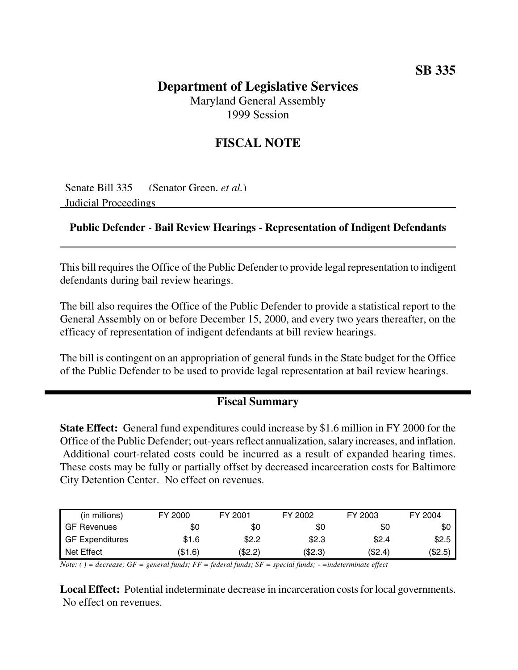## **Department of Legislative Services** Maryland General Assembly

1999 Session

# **FISCAL NOTE**

Senate Bill 335 (Senator Green, *et al.*) Judicial Proceedings

#### **Public Defender - Bail Review Hearings - Representation of Indigent Defendants**

This bill requires the Office of the Public Defender to provide legal representation to indigent defendants during bail review hearings.

The bill also requires the Office of the Public Defender to provide a statistical report to the General Assembly on or before December 15, 2000, and every two years thereafter, on the efficacy of representation of indigent defendants at bill review hearings.

The bill is contingent on an appropriation of general funds in the State budget for the Office of the Public Defender to be used to provide legal representation at bail review hearings.

### **Fiscal Summary**

**State Effect:** General fund expenditures could increase by \$1.6 million in FY 2000 for the Office of the Public Defender; out-years reflect annualization, salary increases, and inflation. Additional court-related costs could be incurred as a result of expanded hearing times. These costs may be fully or partially offset by decreased incarceration costs for Baltimore City Detention Center. No effect on revenues.

| (in millions)          | FY 2000 | FY 2001 | FY 2002 | FY 2003 | FY 2004 |
|------------------------|---------|---------|---------|---------|---------|
| <b>GF Revenues</b>     | \$0     | \$0     | \$0     | \$0     | \$0     |
| <b>GF Expenditures</b> | \$1.6   | \$2.2   | \$2.3   | \$2.4   | \$2.5   |
| Net Effect             | (\$1.6) | (\$2.2) | (\$2.3) | (\$2.4) | (\$2.5) |

Note: () = decrease; GF = general funds; FF = federal funds; SF = special funds; - = indeterminate effect

**Local Effect:** Potential indeterminate decrease in incarceration costs for local governments. No effect on revenues.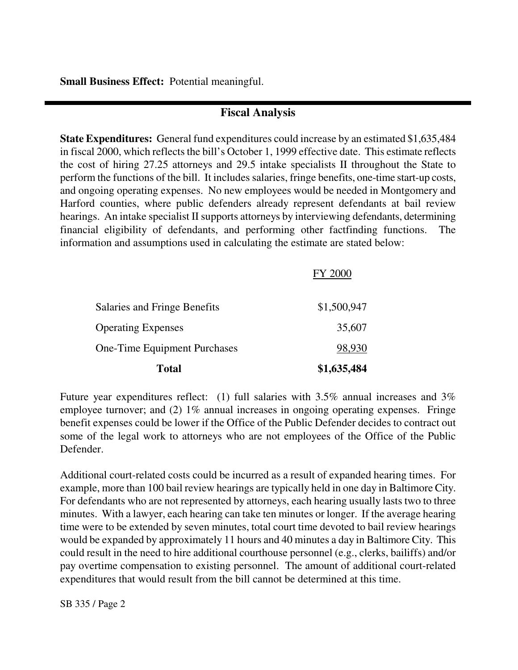**Small Business Effect:** Potential meaningful.

#### **Fiscal Analysis**

**State Expenditures:** General fund expenditures could increase by an estimated \$1,635,484 in fiscal 2000, which reflects the bill's October 1, 1999 effective date. This estimate reflects the cost of hiring 27.25 attorneys and 29.5 intake specialists II throughout the State to perform the functions of the bill. It includes salaries, fringe benefits, one-time start-up costs, and ongoing operating expenses. No new employees would be needed in Montgomery and Harford counties, where public defenders already represent defendants at bail review hearings. An intake specialist II supports attorneys by interviewing defendants, determining financial eligibility of defendants, and performing other factfinding functions. The information and assumptions used in calculating the estimate are stated below:

 $FY2000$ 

| <b>Total</b>                 | \$1,635,484 |
|------------------------------|-------------|
| One-Time Equipment Purchases | 98,930      |
| <b>Operating Expenses</b>    | 35,607      |
| Salaries and Fringe Benefits | \$1,500,947 |
|                              | FY ZUUU     |

Future year expenditures reflect: (1) full salaries with 3.5% annual increases and 3% employee turnover; and (2) 1% annual increases in ongoing operating expenses. Fringe benefit expenses could be lower if the Office of the Public Defender decides to contract out some of the legal work to attorneys who are not employees of the Office of the Public Defender.

Additional court-related costs could be incurred as a result of expanded hearing times. For example, more than 100 bail review hearings are typically held in one day in Baltimore City. For defendants who are not represented by attorneys, each hearing usually lasts two to three minutes. With a lawyer, each hearing can take ten minutes or longer. If the average hearing time were to be extended by seven minutes, total court time devoted to bail review hearings would be expanded by approximately 11 hours and 40 minutes a day in Baltimore City. This could result in the need to hire additional courthouse personnel (e.g., clerks, bailiffs) and/or pay overtime compensation to existing personnel. The amount of additional court-related expenditures that would result from the bill cannot be determined at this time.

SB 335 / Page 2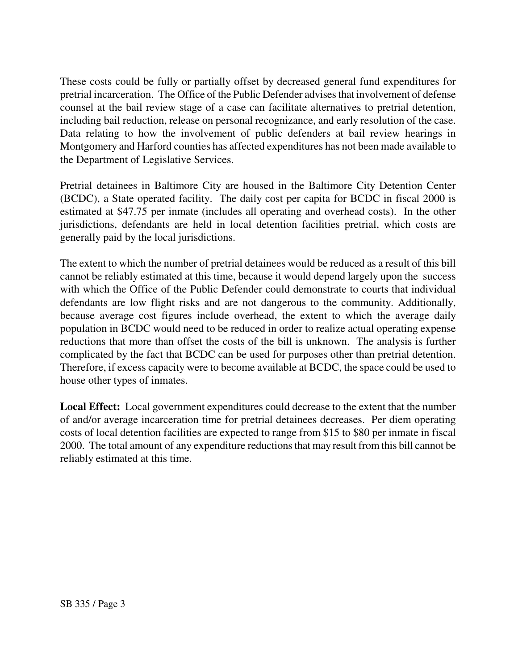These costs could be fully or partially offset by decreased general fund expenditures for pretrial incarceration. The Office of the Public Defender advises that involvement of defense counsel at the bail review stage of a case can facilitate alternatives to pretrial detention, including bail reduction, release on personal recognizance, and early resolution of the case. Data relating to how the involvement of public defenders at bail review hearings in Montgomery and Harford counties has affected expenditures has not been made available to the Department of Legislative Services.

Pretrial detainees in Baltimore City are housed in the Baltimore City Detention Center (BCDC), a State operated facility. The daily cost per capita for BCDC in fiscal 2000 is estimated at \$47.75 per inmate (includes all operating and overhead costs). In the other jurisdictions, defendants are held in local detention facilities pretrial, which costs are generally paid by the local jurisdictions.

The extent to which the number of pretrial detainees would be reduced as a result of this bill cannot be reliably estimated at this time, because it would depend largely upon the success with which the Office of the Public Defender could demonstrate to courts that individual defendants are low flight risks and are not dangerous to the community. Additionally, because average cost figures include overhead, the extent to which the average daily population in BCDC would need to be reduced in order to realize actual operating expense reductions that more than offset the costs of the bill is unknown. The analysis is further complicated by the fact that BCDC can be used for purposes other than pretrial detention. Therefore, if excess capacity were to become available at BCDC, the space could be used to house other types of inmates.

**Local Effect:** Local government expenditures could decrease to the extent that the number of and/or average incarceration time for pretrial detainees decreases. Per diem operating costs of local detention facilities are expected to range from \$15 to \$80 per inmate in fiscal 2000. The total amount of any expenditure reductions that may result from this bill cannot be reliably estimated at this time.